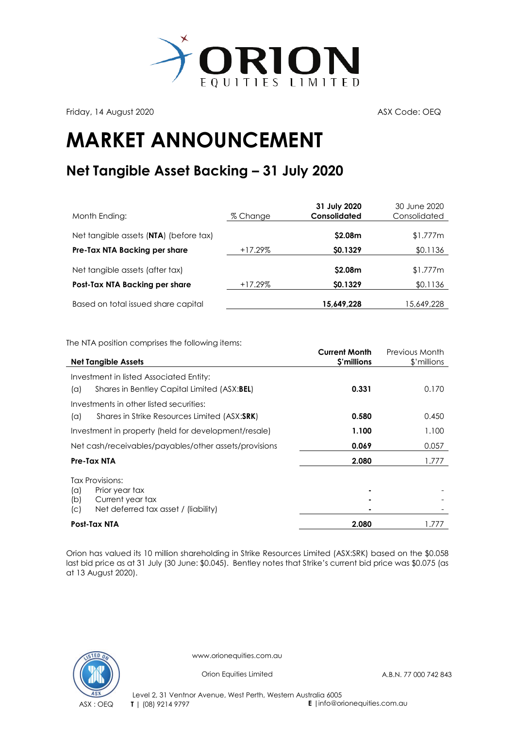

Friday, 14 August 2020 **ASX Code: OEQ** 

## **MARKET ANNOUNCEMENT**

## **Net Tangible Asset Backing – 31 July 2020**

| Month Ending:                          | % Change   | 31 July 2020<br>Consolidated | 30 June 2020<br>Consolidated |
|----------------------------------------|------------|------------------------------|------------------------------|
| Net tangible assets (NTA) (before tax) |            | \$2.08m                      | \$1.777m                     |
| Pre-Tax NTA Backing per share          | $+17.29\%$ | \$0.1329                     | \$0.1136                     |
| Net tangible assets (after tax)        |            | \$2.08m                      | \$1.777m                     |
| Post-Tax NTA Backing per share         | $+17.29\%$ | \$0.1329                     | \$0.1136                     |
| Based on total issued share capital    |            | 15,649,228                   | 15,649,228                   |

The NTA position comprises the following items:

| <b>Net Tangible Assets</b>                                             | <b>Current Month</b><br>\$'millions | Previous Month<br>\$'millions |
|------------------------------------------------------------------------|-------------------------------------|-------------------------------|
| Investment in listed Associated Entity:                                |                                     |                               |
| Shares in Bentley Capital Limited (ASX:BEL)<br>(a)                     | 0.331                               | 0.170                         |
| Investments in other listed securities:                                |                                     |                               |
| Shares in Strike Resources Limited (ASX:SRK)<br>(a)                    | 0.580                               | 0.450                         |
| Investment in property (held for development/resale)                   | 1.100                               | 1.100                         |
| Net cash/receivables/payables/other assets/provisions                  | 0.069                               | 0.057                         |
| Pre-Tax NTA                                                            | 2.080                               | 1.777                         |
| <b>Tax Provisions:</b>                                                 |                                     |                               |
| Prior year tax<br>(a)                                                  |                                     |                               |
| Current year tax<br>(b)<br>Net deferred tax asset / (liability)<br>(C) |                                     |                               |
| <b>Post-Tax NTA</b>                                                    | 2.080                               | 1.777                         |

Orion has valued its 10 million shareholding in [Strike Resources Limited](http://www.strikeresources.com.au/) (ASX[:SRK\)](http://www.asx.com.au/asx/share-price-research/company/SRK) based on the \$0.058 last bid price as at 31 July (30 June: \$0.045). Bentley notes that Strike's current bid price was \$0.075 (as at 13 August 2020).



www.orionequities.com.au

Orion Equities Limited A.B.N. 77 000 742 843

Level 2, 31 Ventnor Avenue, West Perth, Western Australia 6005 ASX : OEQ **T** | (08) 9214 9797 **E** |info@orionequities.com.au